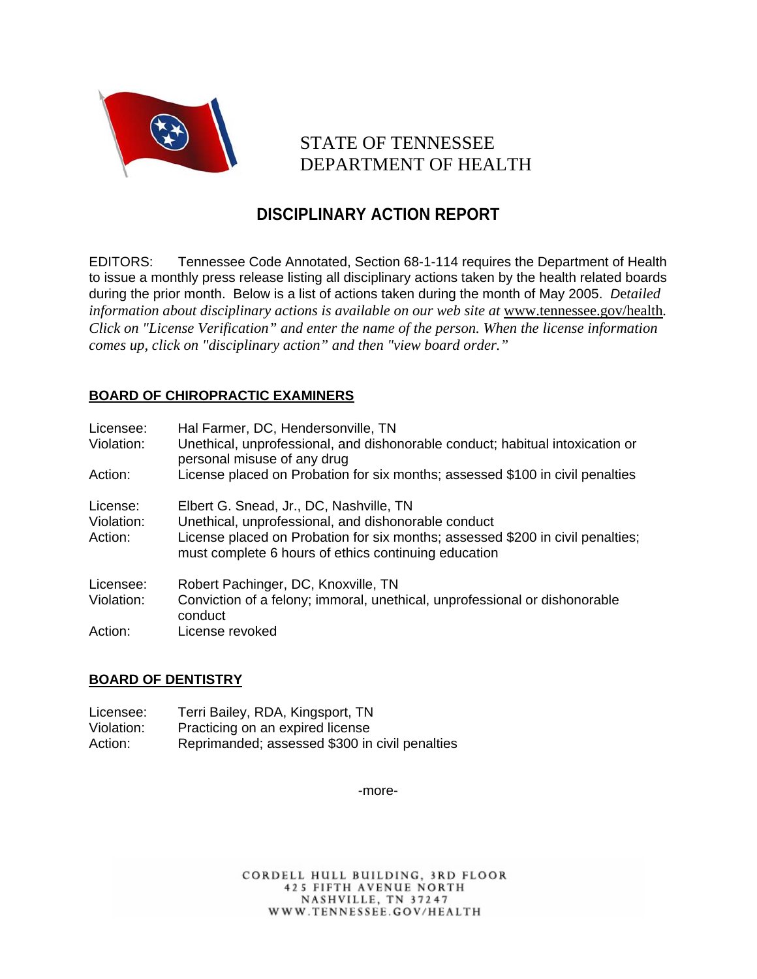

# STATE OF TENNESSEE DEPARTMENT OF HEALTH

## **DISCIPLINARY ACTION REPORT**

EDITORS: Tennessee Code Annotated, Section 68-1-114 requires the Department of Health to issue a monthly press release listing all disciplinary actions taken by the health related boards during the prior month. Below is a list of actions taken during the month of May 2005. *D*e*tailed*  information about disciplinary actions is available on our web site at www.tennessee.gov/health. *Click on "License Verification" and enter the name of the person. When the license information comes up, click on "disciplinary action" and then "view board order."* 

## **BOARD OF CHIROPRACTIC EXAMINERS**

| Licensee:<br>Violation:           | Hal Farmer, DC, Hendersonville, TN<br>Unethical, unprofessional, and dishonorable conduct; habitual intoxication or<br>personal misuse of any drug                                                                                       |
|-----------------------------------|------------------------------------------------------------------------------------------------------------------------------------------------------------------------------------------------------------------------------------------|
| Action:                           | License placed on Probation for six months; assessed \$100 in civil penalties                                                                                                                                                            |
| License:<br>Violation:<br>Action: | Elbert G. Snead, Jr., DC, Nashville, TN<br>Unethical, unprofessional, and dishonorable conduct<br>License placed on Probation for six months; assessed \$200 in civil penalties;<br>must complete 6 hours of ethics continuing education |
| Licensee:                         | Robert Pachinger, DC, Knoxville, TN                                                                                                                                                                                                      |
| Violation:                        | Conviction of a felony; immoral, unethical, unprofessional or dishonorable<br>conduct                                                                                                                                                    |
| Action:                           | License revoked                                                                                                                                                                                                                          |

## **BOARD OF DENTISTRY**

| Licensee:  | Terri Bailey, RDA, Kingsport, TN               |
|------------|------------------------------------------------|
| Violation: | Practicing on an expired license               |
| Action:    | Reprimanded; assessed \$300 in civil penalties |

-more-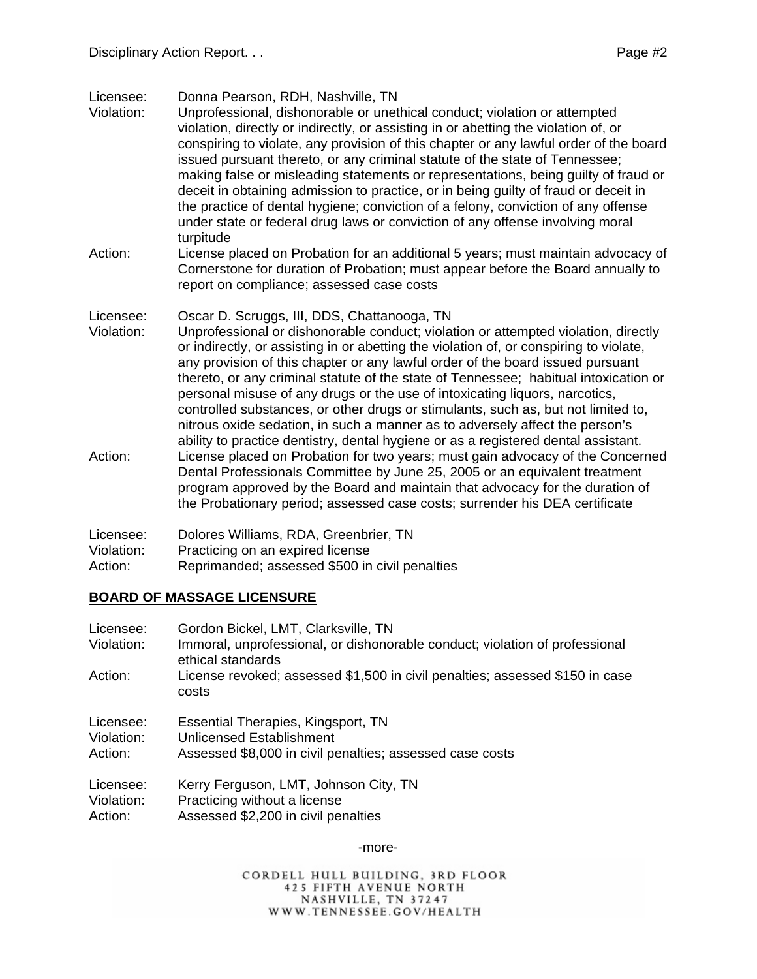Licensee: Donna Pearson, RDH, Nashville, TN

- Violation: Unprofessional, dishonorable or unethical conduct; violation or attempted violation, directly or indirectly, or assisting in or abetting the violation of, or conspiring to violate, any provision of this chapter or any lawful order of the board issued pursuant thereto, or any criminal statute of the state of Tennessee; making false or misleading statements or representations, being guilty of fraud or deceit in obtaining admission to practice, or in being guilty of fraud or deceit in the practice of dental hygiene; conviction of a felony, conviction of any offense under state or federal drug laws or conviction of any offense involving moral turpitude
- Action: License placed on Probation for an additional 5 years; must maintain advocacy of Cornerstone for duration of Probation; must appear before the Board annually to report on compliance; assessed case costs
- Licensee: Oscar D. Scruggs, III, DDS, Chattanooga, TN
- Violation: Unprofessional or dishonorable conduct; violation or attempted violation, directly or indirectly, or assisting in or abetting the violation of, or conspiring to violate, any provision of this chapter or any lawful order of the board issued pursuant thereto, or any criminal statute of the state of Tennessee; habitual intoxication or personal misuse of any drugs or the use of intoxicating liquors, narcotics, controlled substances, or other drugs or stimulants, such as, but not limited to, nitrous oxide sedation, in such a manner as to adversely affect the person's ability to practice dentistry, dental hygiene or as a registered dental assistant.
- Action: License placed on Probation for two years; must gain advocacy of the Concerned Dental Professionals Committee by June 25, 2005 or an equivalent treatment program approved by the Board and maintain that advocacy for the duration of the Probationary period; assessed case costs; surrender his DEA certificate

| Licensee:  | Dolores Williams, RDA, Greenbrier, TN          |
|------------|------------------------------------------------|
| Violation: | Practicing on an expired license               |
| Action:    | Reprimanded; assessed \$500 in civil penalties |

## **BOARD OF MASSAGE LICENSURE**

| Licensee:<br>Violation: | Gordon Bickel, LMT, Clarksville, TN<br>Immoral, unprofessional, or dishonorable conduct; violation of professional<br>ethical standards |
|-------------------------|-----------------------------------------------------------------------------------------------------------------------------------------|
| Action:                 | License revoked; assessed \$1,500 in civil penalties; assessed \$150 in case<br>costs                                                   |
| Licensee:               | Essential Therapies, Kingsport, TN                                                                                                      |
| Violation:              | Unlicensed Establishment                                                                                                                |
| Action:                 | Assessed \$8,000 in civil penalties; assessed case costs                                                                                |
| Licensee:               | Kerry Ferguson, LMT, Johnson City, TN                                                                                                   |
| Violation:              | Practicing without a license                                                                                                            |
| Action:                 | Assessed \$2,200 in civil penalties                                                                                                     |

-more-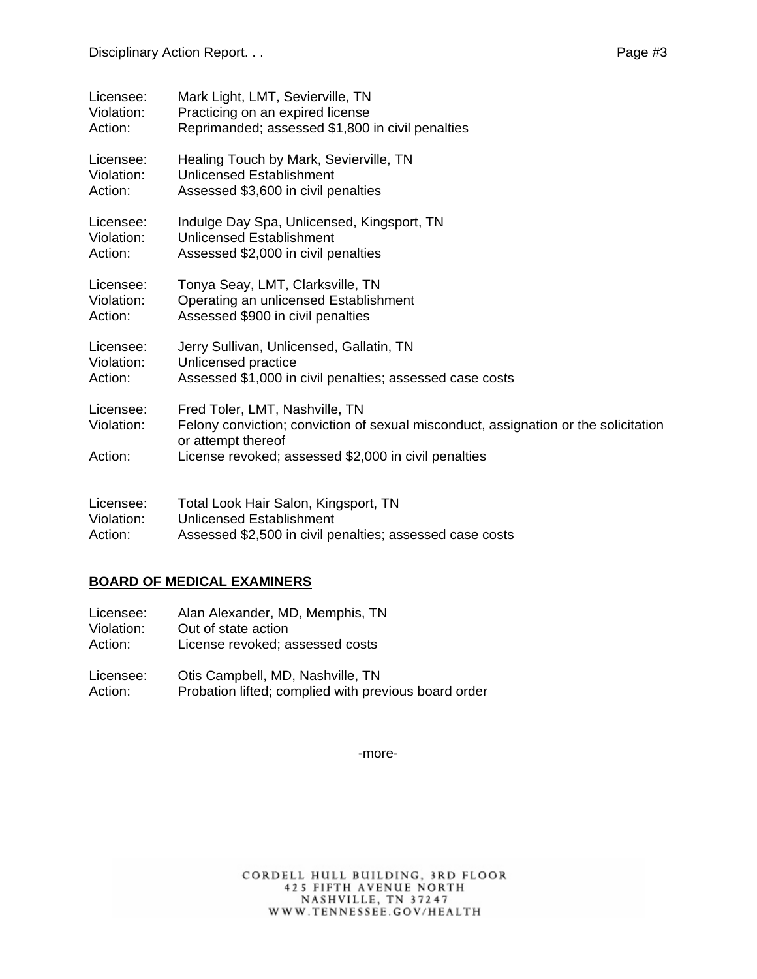| Licensee:               | Mark Light, LMT, Sevierville, TN                                                                                                            |
|-------------------------|---------------------------------------------------------------------------------------------------------------------------------------------|
| Violation:              | Practicing on an expired license                                                                                                            |
| Action:                 | Reprimanded; assessed \$1,800 in civil penalties                                                                                            |
| Licensee:               | Healing Touch by Mark, Sevierville, TN                                                                                                      |
| Violation:              | <b>Unlicensed Establishment</b>                                                                                                             |
| Action:                 | Assessed \$3,600 in civil penalties                                                                                                         |
| Licensee:               | Indulge Day Spa, Unlicensed, Kingsport, TN                                                                                                  |
| Violation:              | <b>Unlicensed Establishment</b>                                                                                                             |
| Action:                 | Assessed \$2,000 in civil penalties                                                                                                         |
| Licensee:               | Tonya Seay, LMT, Clarksville, TN                                                                                                            |
| Violation:              | Operating an unlicensed Establishment                                                                                                       |
| Action:                 | Assessed \$900 in civil penalties                                                                                                           |
| Licensee:               | Jerry Sullivan, Unlicensed, Gallatin, TN                                                                                                    |
| Violation:              | Unlicensed practice                                                                                                                         |
| Action:                 | Assessed \$1,000 in civil penalties; assessed case costs                                                                                    |
| Licensee:<br>Violation: | Fred Toler, LMT, Nashville, TN<br>Felony conviction; conviction of sexual misconduct, assignation or the solicitation<br>or attempt thereof |
| Action:                 | License revoked; assessed \$2,000 in civil penalties                                                                                        |
| Licensee:               | Total Look Hair Salon, Kingsport, TN                                                                                                        |
| Violation:              | <b>Unlicensed Establishment</b>                                                                                                             |
| Action:                 | Assessed \$2,500 in civil penalties; assessed case costs                                                                                    |

#### **BOARD OF MEDICAL EXAMINERS**

- Licensee: Alan Alexander, MD, Memphis, TN<br>Violation: Out of state action Out of state action Action: License revoked; assessed costs
- Licensee: Otis Campbell, MD, Nashville, TN Action: Probation lifted; complied with previous board order

-more-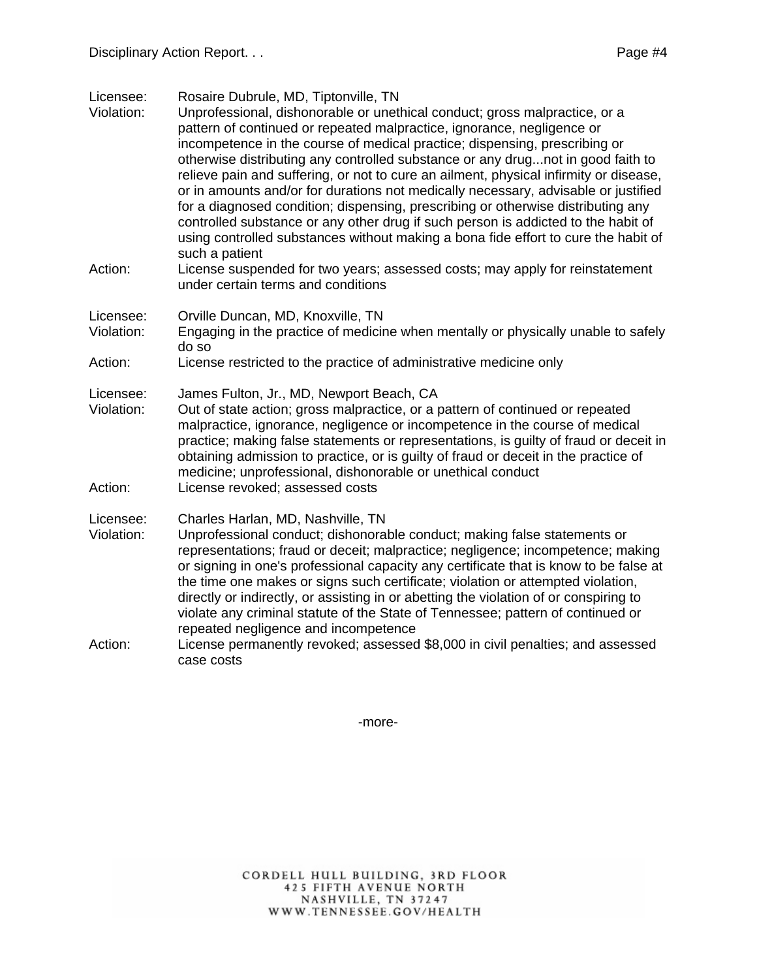Licensee: Rosaire Dubrule, MD, Tiptonville, TN

- Violation: Unprofessional, dishonorable or unethical conduct; gross malpractice, or a pattern of continued or repeated malpractice, ignorance, negligence or incompetence in the course of medical practice; dispensing, prescribing or otherwise distributing any controlled substance or any drug...not in good faith to relieve pain and suffering, or not to cure an ailment, physical infirmity or disease, or in amounts and/or for durations not medically necessary, advisable or justified for a diagnosed condition; dispensing, prescribing or otherwise distributing any controlled substance or any other drug if such person is addicted to the habit of using controlled substances without making a bona fide effort to cure the habit of such a patient
- Action: License suspended for two years; assessed costs; may apply for reinstatement under certain terms and conditions
- Licensee: Orville Duncan, MD, Knoxville, TN
- Violation: Engaging in the practice of medicine when mentally or physically unable to safely do so
- Action: License restricted to the practice of administrative medicine only

Licensee: James Fulton, Jr., MD, Newport Beach, CA

- Violation: Out of state action; gross malpractice, or a pattern of continued or repeated malpractice, ignorance, negligence or incompetence in the course of medical practice; making false statements or representations, is guilty of fraud or deceit in obtaining admission to practice, or is guilty of fraud or deceit in the practice of medicine; unprofessional, dishonorable or unethical conduct Action: License revoked; assessed costs
- 

Licensee: Charles Harlan, MD, Nashville, TN

- Violation: Unprofessional conduct; dishonorable conduct; making false statements or representations; fraud or deceit; malpractice; negligence; incompetence; making or signing in one's professional capacity any certificate that is know to be false at the time one makes or signs such certificate; violation or attempted violation, directly or indirectly, or assisting in or abetting the violation of or conspiring to violate any criminal statute of the State of Tennessee; pattern of continued or repeated negligence and incompetence
- Action: License permanently revoked; assessed \$8,000 in civil penalties; and assessed case costs

-more-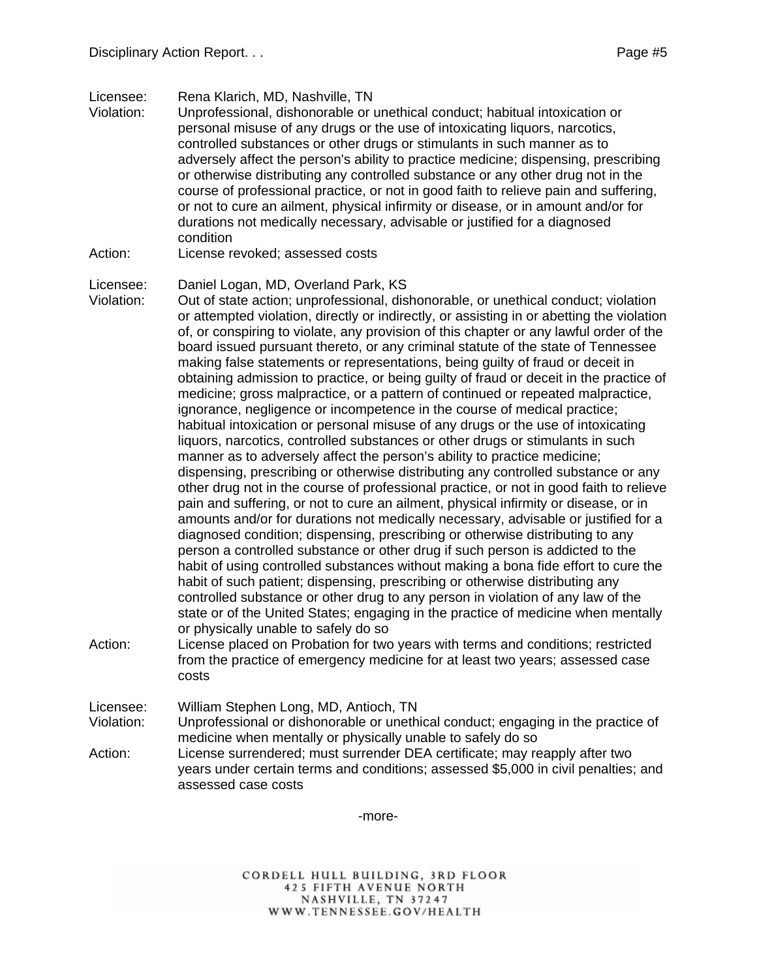Licensee: Rena Klarich, MD, Nashville, TN

- Violation: Unprofessional, dishonorable or unethical conduct; habitual intoxication or personal misuse of any drugs or the use of intoxicating liquors, narcotics, controlled substances or other drugs or stimulants in such manner as to adversely affect the person's ability to practice medicine; dispensing, prescribing or otherwise distributing any controlled substance or any other drug not in the course of professional practice, or not in good faith to relieve pain and suffering, or not to cure an ailment, physical infirmity or disease, or in amount and/or for durations not medically necessary, advisable or justified for a diagnosed condition
- Action: License revoked; assessed costs

#### Licensee: Daniel Logan, MD, Overland Park, KS

- Violation: Out of state action; unprofessional, dishonorable, or unethical conduct; violation or attempted violation, directly or indirectly, or assisting in or abetting the violation of, or conspiring to violate, any provision of this chapter or any lawful order of the board issued pursuant thereto, or any criminal statute of the state of Tennessee making false statements or representations, being guilty of fraud or deceit in obtaining admission to practice, or being guilty of fraud or deceit in the practice of medicine; gross malpractice, or a pattern of continued or repeated malpractice, ignorance, negligence or incompetence in the course of medical practice; habitual intoxication or personal misuse of any drugs or the use of intoxicating liquors, narcotics, controlled substances or other drugs or stimulants in such manner as to adversely affect the person's ability to practice medicine; dispensing, prescribing or otherwise distributing any controlled substance or any other drug not in the course of professional practice, or not in good faith to relieve pain and suffering, or not to cure an ailment, physical infirmity or disease, or in amounts and/or for durations not medically necessary, advisable or justified for a diagnosed condition; dispensing, prescribing or otherwise distributing to any person a controlled substance or other drug if such person is addicted to the habit of using controlled substances without making a bona fide effort to cure the habit of such patient; dispensing, prescribing or otherwise distributing any controlled substance or other drug to any person in violation of any law of the state or of the United States; engaging in the practice of medicine when mentally or physically unable to safely do so Action: License placed on Probation for two years with terms and conditions; restricted
- from the practice of emergency medicine for at least two years; assessed case costs

Licensee: William Stephen Long, MD, Antioch, TN Violation: Unprofessional or dishonorable or unethical conduct; engaging in the practice of medicine when mentally or physically unable to safely do so

Action: License surrendered; must surrender DEA certificate; may reapply after two years under certain terms and conditions; assessed \$5,000 in civil penalties; and assessed case costs

-more-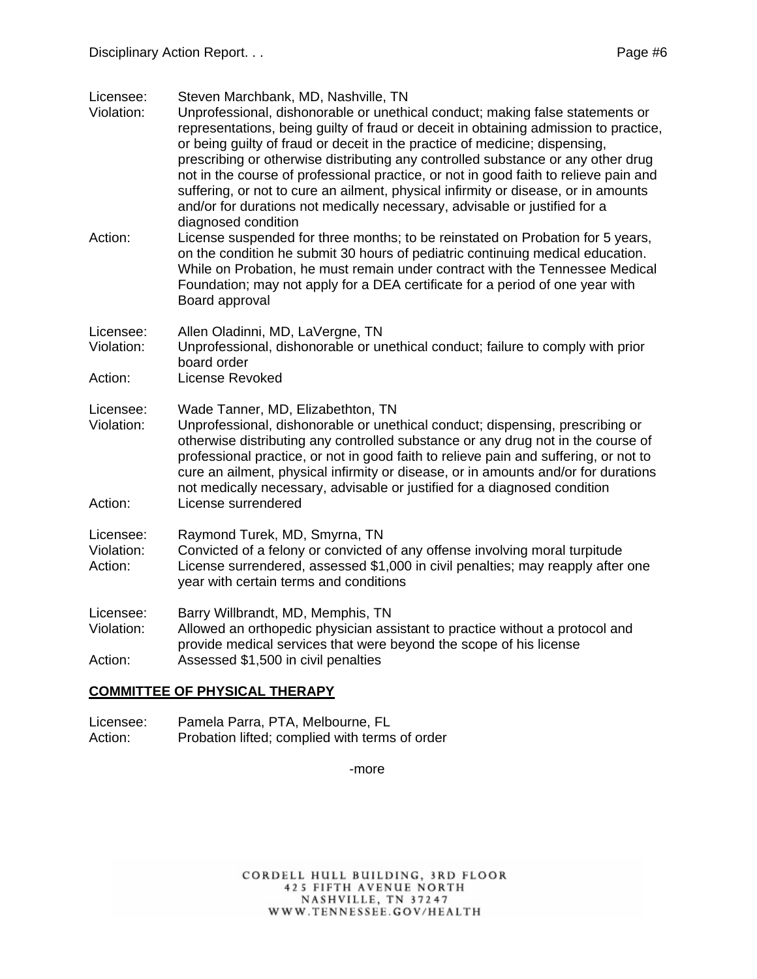Licensee: Steven Marchbank, MD, Nashville, TN

- Violation: Unprofessional, dishonorable or unethical conduct; making false statements or representations, being guilty of fraud or deceit in obtaining admission to practice, or being guilty of fraud or deceit in the practice of medicine; dispensing, prescribing or otherwise distributing any controlled substance or any other drug not in the course of professional practice, or not in good faith to relieve pain and suffering, or not to cure an ailment, physical infirmity or disease, or in amounts and/or for durations not medically necessary, advisable or justified for a diagnosed condition Action: License suspended for three months; to be reinstated on Probation for 5 years,
- on the condition he submit 30 hours of pediatric continuing medical education. While on Probation, he must remain under contract with the Tennessee Medical Foundation; may not apply for a DEA certificate for a period of one year with Board approval
- Licensee: Allen Oladinni, MD, LaVergne, TN Violation: Unprofessional, dishonorable or unethical conduct; failure to comply with prior board order
- Action: License Revoked

Licensee: Wade Tanner, MD, Elizabethton, TN

Violation: Unprofessional, dishonorable or unethical conduct; dispensing, prescribing or otherwise distributing any controlled substance or any drug not in the course of professional practice, or not in good faith to relieve pain and suffering, or not to cure an ailment, physical infirmity or disease, or in amounts and/or for durations not medically necessary, advisable or justified for a diagnosed condition Action: License surrendered

Licensee: Raymond Turek, MD, Smyrna, TN

Violation: Convicted of a felony or convicted of any offense involving moral turpitude Action: License surrendered, assessed \$1,000 in civil penalties; may reapply after one year with certain terms and conditions

Licensee: Barry Willbrandt, MD, Memphis, TN

Violation: Allowed an orthopedic physician assistant to practice without a protocol and provide medical services that were beyond the scope of his license Action: Assessed \$1,500 in civil penalties

#### **COMMITTEE OF PHYSICAL THERAPY**

Licensee: Pamela Parra, PTA, Melbourne, FL Action: Probation lifted; complied with terms of order

-more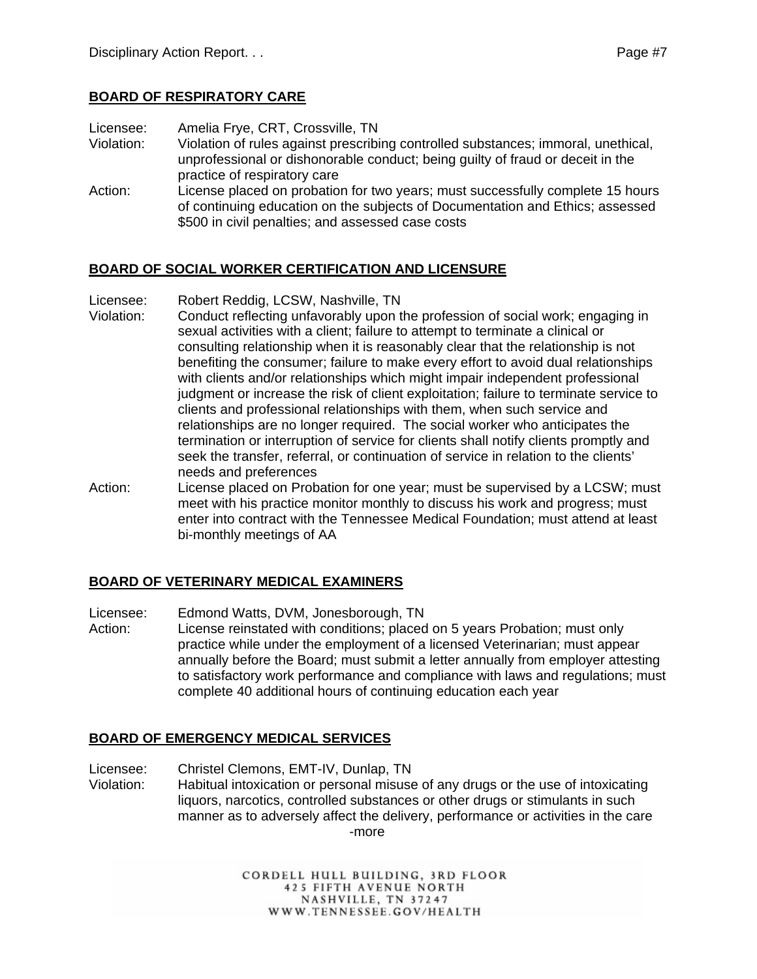#### **BOARD OF RESPIRATORY CARE**

Licensee: Amelia Frye, CRT, Crossville, TN

- Violation: Violation of rules against prescribing controlled substances; immoral, unethical, unprofessional or dishonorable conduct; being guilty of fraud or deceit in the practice of respiratory care
- Action: License placed on probation for two years; must successfully complete 15 hours of continuing education on the subjects of Documentation and Ethics; assessed \$500 in civil penalties; and assessed case costs

#### **BOARD OF SOCIAL WORKER CERTIFICATION AND LICENSURE**

Licensee: Robert Reddig, LCSW, Nashville, TN

- Violation: Conduct reflecting unfavorably upon the profession of social work; engaging in sexual activities with a client; failure to attempt to terminate a clinical or consulting relationship when it is reasonably clear that the relationship is not benefiting the consumer; failure to make every effort to avoid dual relationships with clients and/or relationships which might impair independent professional judgment or increase the risk of client exploitation; failure to terminate service to clients and professional relationships with them, when such service and relationships are no longer required. The social worker who anticipates the termination or interruption of service for clients shall notify clients promptly and seek the transfer, referral, or continuation of service in relation to the clients' needs and preferences
- Action: License placed on Probation for one year; must be supervised by a LCSW; must meet with his practice monitor monthly to discuss his work and progress; must enter into contract with the Tennessee Medical Foundation; must attend at least bi-monthly meetings of AA

## **BOARD OF VETERINARY MEDICAL EXAMINERS**

Licensee: Edmond Watts, DVM, Jonesborough, TN

Action: License reinstated with conditions; placed on 5 years Probation; must only practice while under the employment of a licensed Veterinarian; must appear annually before the Board; must submit a letter annually from employer attesting to satisfactory work performance and compliance with laws and regulations; must complete 40 additional hours of continuing education each year

#### **BOARD OF EMERGENCY MEDICAL SERVICES**

Licensee: Christel Clemons, EMT-IV, Dunlap, TN Violation: Habitual intoxication or personal misuse of any drugs or the use of intoxicating liquors, narcotics, controlled substances or other drugs or stimulants in such manner as to adversely affect the delivery, performance or activities in the care -more